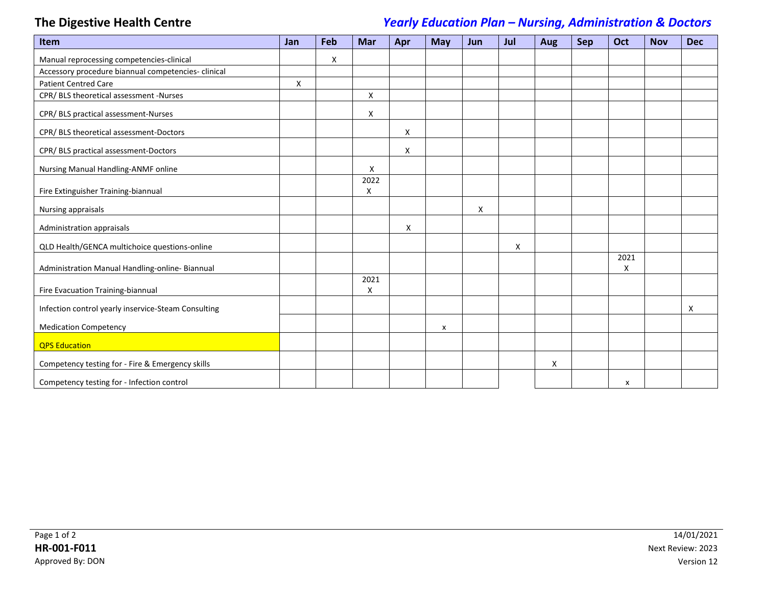## **The Digestive Health Centre** *Yearly Education Plan – Nursing, Administration & Doctors*

| <b>Item</b>                                         | <b>Jan</b> | Feb | <b>Mar</b>   | Apr | <b>May</b> | <b>Jun</b> | Jul | Aug | <b>Sep</b> | Oct       | <b>Nov</b> | <b>Dec</b> |
|-----------------------------------------------------|------------|-----|--------------|-----|------------|------------|-----|-----|------------|-----------|------------|------------|
| Manual reprocessing competencies-clinical           |            | X   |              |     |            |            |     |     |            |           |            |            |
| Accessory procedure biannual competencies-clinical  |            |     |              |     |            |            |     |     |            |           |            |            |
| <b>Patient Centred Care</b>                         | X          |     |              |     |            |            |     |     |            |           |            |            |
| CPR/ BLS theoretical assessment -Nurses             |            |     | $\mathsf{x}$ |     |            |            |     |     |            |           |            |            |
| CPR/ BLS practical assessment-Nurses                |            |     | Χ            |     |            |            |     |     |            |           |            |            |
| CPR/BLS theoretical assessment-Doctors              |            |     |              | X   |            |            |     |     |            |           |            |            |
| CPR/ BLS practical assessment-Doctors               |            |     |              | X   |            |            |     |     |            |           |            |            |
| Nursing Manual Handling-ANMF online                 |            |     | Χ            |     |            |            |     |     |            |           |            |            |
| Fire Extinguisher Training-biannual                 |            |     | 2022<br>X    |     |            |            |     |     |            |           |            |            |
| Nursing appraisals                                  |            |     |              |     |            | X          |     |     |            |           |            |            |
| Administration appraisals                           |            |     |              | Χ   |            |            |     |     |            |           |            |            |
| QLD Health/GENCA multichoice questions-online       |            |     |              |     |            |            | X   |     |            |           |            |            |
| Administration Manual Handling-online- Biannual     |            |     |              |     |            |            |     |     |            | 2021<br>X |            |            |
| Fire Evacuation Training-biannual                   |            |     | 2021<br>X    |     |            |            |     |     |            |           |            |            |
| Infection control yearly inservice-Steam Consulting |            |     |              |     |            |            |     |     |            |           |            | X          |
| <b>Medication Competency</b>                        |            |     |              |     | X          |            |     |     |            |           |            |            |
| <b>QPS Education</b>                                |            |     |              |     |            |            |     |     |            |           |            |            |
| Competency testing for - Fire & Emergency skills    |            |     |              |     |            |            |     | Χ   |            |           |            |            |
| Competency testing for - Infection control          |            |     |              |     |            |            |     |     |            | x         |            |            |